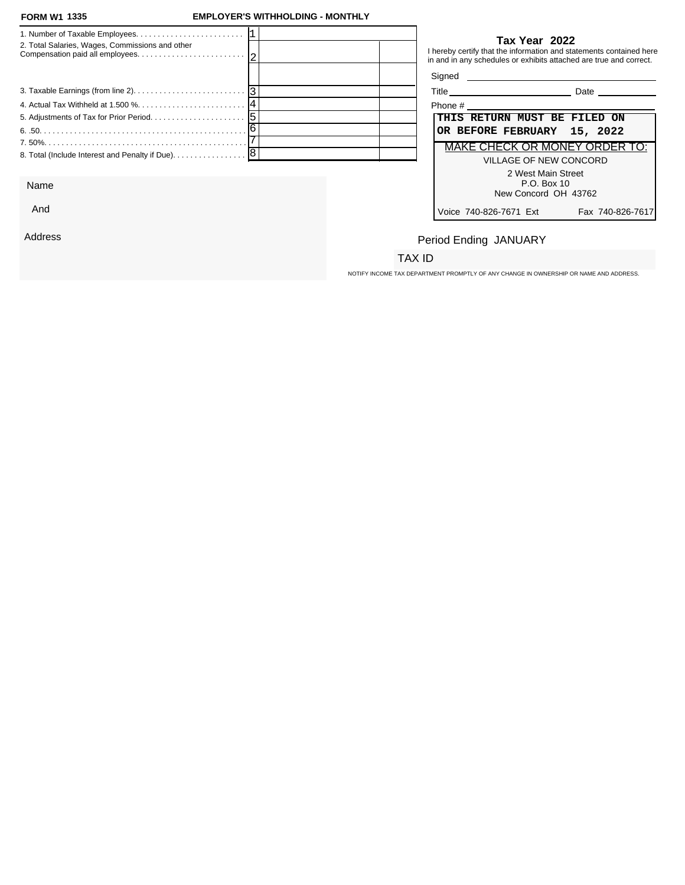### **FORM W1 EMPLOYER'S WITHHOLDING - MONTHLY**

| 2. Total Salaries, Wages, Commissions and other            |  |         | Tax Year 2022<br>I hereby certify that the information and statements contained here<br>in and in any schedules or exhibits attached are true and correct. |
|------------------------------------------------------------|--|---------|------------------------------------------------------------------------------------------------------------------------------------------------------------|
|                                                            |  |         | Signed <b>Signed</b>                                                                                                                                       |
|                                                            |  |         | Title Date Date                                                                                                                                            |
|                                                            |  | Phone # |                                                                                                                                                            |
|                                                            |  |         | THIS RETURN MUST BE FILED ON                                                                                                                               |
|                                                            |  |         | OR BEFORE FEBRUARY 15, 2022                                                                                                                                |
|                                                            |  |         | <b>MAKE CHECK OR MONEY ORDER TO:</b>                                                                                                                       |
| 8. Total (Include Interest and Penalty if Due). $\ldots$ 8 |  |         | VILLAGE OF NEW CONCORD                                                                                                                                     |
|                                                            |  |         | 2 West Main Street                                                                                                                                         |

Name

And

Address

### **Tax Year 2022**

| Title<br>Date                              |  |  |  |  |
|--------------------------------------------|--|--|--|--|
| Phone #                                    |  |  |  |  |
| THIS RETURN MUST BE FILED ON               |  |  |  |  |
| OR BEFORE FEBRUARY 15, 2022                |  |  |  |  |
| <b>MAKE CHECK OR MONEY ORDER TO:</b>       |  |  |  |  |
| VILLAGE OF NEW CONCORD                     |  |  |  |  |
| 2 West Main Street<br>$P.O.$ Box 10        |  |  |  |  |
| New Concord OH 43762                       |  |  |  |  |
| Voice 740-826-7671 Ext<br>Fax 740-826-7617 |  |  |  |  |

## Period Ending JANUARY

### TAX ID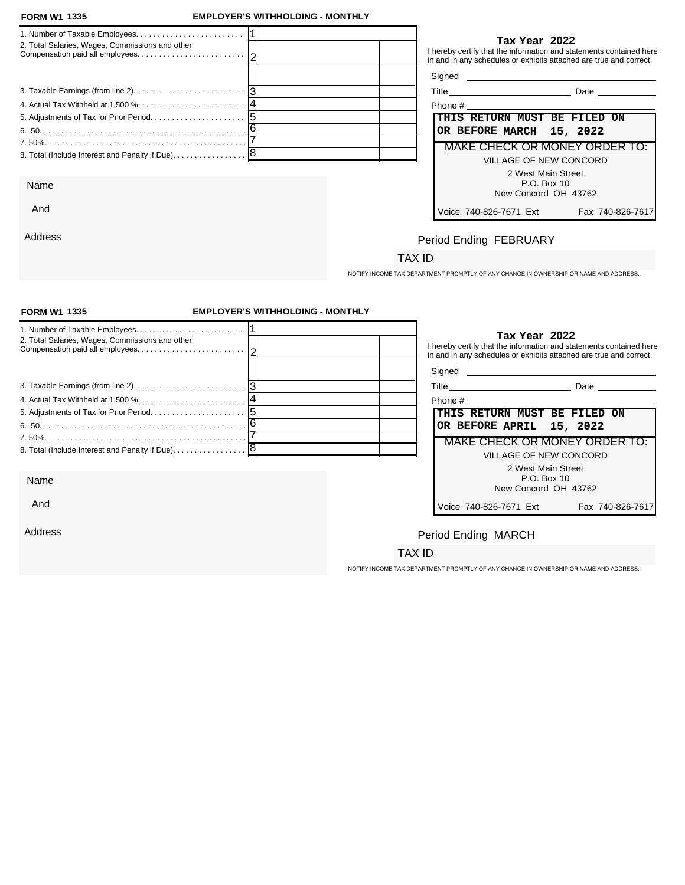And

Address

### **FORM W1 EMPLOYER'S WITHHOLDING - MONTHLY**

| 2. Total Salaries, Wages, Commissions and other   | Tax Year 2022<br>I hereby certify that the information and statements contained here<br>in and in any schedules or exhibits attached are true and correct. |
|---------------------------------------------------|------------------------------------------------------------------------------------------------------------------------------------------------------------|
|                                                   |                                                                                                                                                            |
|                                                   | Date                                                                                                                                                       |
|                                                   | Phone # 2008 2009 2012 2022 2023 2024 2022 2023 2024 2022 2023 2024 2022 2023 2024 2022 2023 2024 20                                                       |
|                                                   | THIS RETURN MUST BE FILED ON                                                                                                                               |
|                                                   | OR BEFORE MARCH 15, 2022                                                                                                                                   |
|                                                   | MAKE CHECK OR MONEY ORDER TO:                                                                                                                              |
| 8. Total (Include Interest and Penalty if Due). 8 | VILLAGE OF NEW CONCORD                                                                                                                                     |
|                                                   | 2 West Main Street                                                                                                                                         |
| Name                                              | P.O. Box 10                                                                                                                                                |
|                                                   | New Concord OH 13762                                                                                                                                       |

| Title<br>Date |
|---------------|
|---------------|

| Phone #                                    |  |  |  |  |  |
|--------------------------------------------|--|--|--|--|--|
| THIS RETURN MUST BE FILED ON               |  |  |  |  |  |
| OR BEFORE MARCH 15, 2022                   |  |  |  |  |  |
| <b>MAKE CHECK OR MONEY ORDER TO:</b>       |  |  |  |  |  |
| VILLAGE OF NEW CONCORD                     |  |  |  |  |  |
| 2 West Main Street                         |  |  |  |  |  |
| P.O. Box 10                                |  |  |  |  |  |
| New Concord OH 43762                       |  |  |  |  |  |
| Voice 740-826-7671 Ext<br>Fax 740-826-7617 |  |  |  |  |  |

# Period Ending FEBRUARY

## TAX ID

NOTIFY INCOME TAX DEPARTMENT PROMPTLY OF ANY CHANGE IN OWNERSHIP OR NAME AND ADDRESS.

| <b>FORM W1 1335</b>                                                                             | <b>EMPLOYER'S WITHHOLDING - MONTHLY</b> |                                                                                                                                                            |  |  |
|-------------------------------------------------------------------------------------------------|-----------------------------------------|------------------------------------------------------------------------------------------------------------------------------------------------------------|--|--|
| 2. Total Salaries, Wages, Commissions and other                                                 |                                         | Tax Year 2022<br>I hereby certify that the information and statements contained here<br>in and in any schedules or exhibits attached are true and correct. |  |  |
|                                                                                                 |                                         |                                                                                                                                                            |  |  |
| 3. Taxable Earnings (from line 2). $\ldots$ . $\ldots$ . $\ldots$ . $\ldots$ . $\ldots$ . $ 3 $ |                                         | Title Date Date                                                                                                                                            |  |  |
|                                                                                                 |                                         |                                                                                                                                                            |  |  |
|                                                                                                 |                                         | THIS RETURN MUST BE FILED ON                                                                                                                               |  |  |
|                                                                                                 |                                         | OR BEFORE APRIL 15, 2022                                                                                                                                   |  |  |
|                                                                                                 |                                         | MAKE CHECK OR MONEY ORDER TO:                                                                                                                              |  |  |
|                                                                                                 |                                         | VILLAGE OF NEW CONCORD                                                                                                                                     |  |  |
|                                                                                                 |                                         | 2 West Main Street                                                                                                                                         |  |  |
| Name                                                                                            |                                         | P.O. Box 10<br>New Concord OH 43762                                                                                                                        |  |  |
| And                                                                                             |                                         | Voice 740-826-7671 Ext<br>Fax 740-826-7617                                                                                                                 |  |  |
| Address                                                                                         |                                         | Period Ending MARCH                                                                                                                                        |  |  |
|                                                                                                 |                                         | TAX ID                                                                                                                                                     |  |  |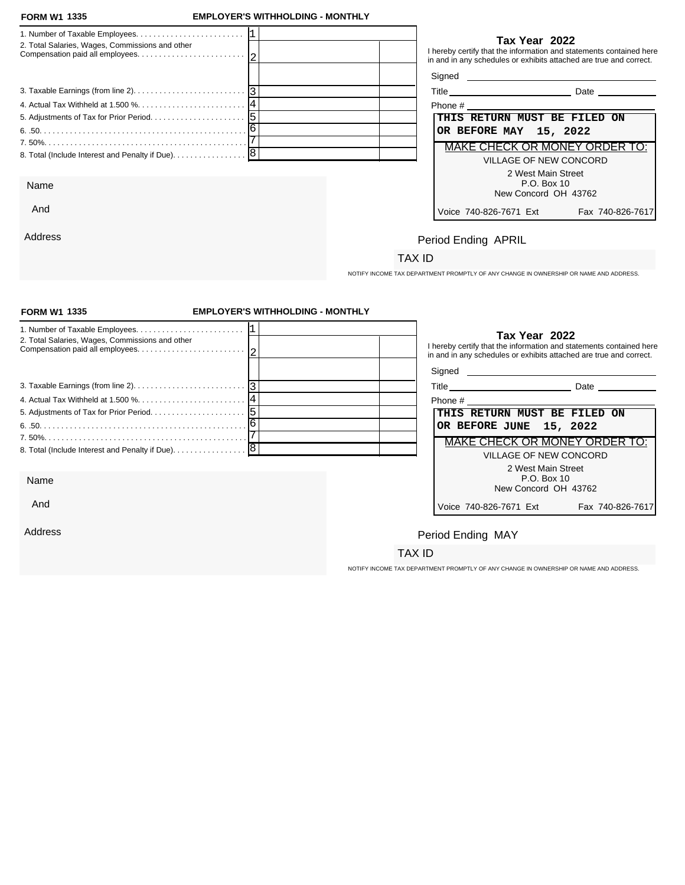And

Address

### **FORM W1 EMPLOYER'S WITHHOLDING - MONTHLY**

|                                                                                                             |                              | Tax Year 2022                                                                                                                             |
|-------------------------------------------------------------------------------------------------------------|------------------------------|-------------------------------------------------------------------------------------------------------------------------------------------|
| 2. Total Salaries, Wages, Commissions and other                                                             |                              | I hereby certify that the information and statements contained here<br>in and in any schedules or exhibits attached are true and correct. |
|                                                                                                             |                              |                                                                                                                                           |
| 3. Taxable Earnings (from line 2). $\ldots$ . $\ldots$ . $\ldots$ . $\ldots$ . $\ldots$ . $\lceil 3 \rceil$ |                              | Date                                                                                                                                      |
|                                                                                                             | Phone #                      |                                                                                                                                           |
|                                                                                                             | THIS RETURN MUST BE FILED ON |                                                                                                                                           |
|                                                                                                             | OR BEFORE MAY 15, 2022       |                                                                                                                                           |
|                                                                                                             |                              | MAKE CHECK OR MONEY ORDER TO:                                                                                                             |
|                                                                                                             |                              | VILLAGE OF NEW CONCORD                                                                                                                    |
|                                                                                                             |                              | 2 West Main Street                                                                                                                        |
| Name                                                                                                        |                              | P.O. Box 10<br>New Concord OH 43762                                                                                                       |

| Phone #                                    |  |  |  |  |  |
|--------------------------------------------|--|--|--|--|--|
| THIS RETURN MUST BE FILED ON               |  |  |  |  |  |
| OR BEFORE MAY 15, 2022                     |  |  |  |  |  |
| MAKE CHECK OR MONEY ORDER TO:              |  |  |  |  |  |
| VILLAGE OF NEW CONCORD                     |  |  |  |  |  |
| 2 West Main Street                         |  |  |  |  |  |
| $P.O.$ Box 10                              |  |  |  |  |  |
| New Concord OH 43762                       |  |  |  |  |  |
| Voice 740-826-7671 Ext<br>Fax 740-826-7617 |  |  |  |  |  |

# Period Ending APRIL

### TAX ID

NOTIFY INCOME TAX DEPARTMENT PROMPTLY OF ANY CHANGE IN OWNERSHIP OR NAME AND ADDRESS.

| <b>FORM W1 1335</b>                                                                             | <b>EMPLOYER'S WITHHOLDING - MONTHLY</b> |                         |                                                                                                                                                            |  |
|-------------------------------------------------------------------------------------------------|-----------------------------------------|-------------------------|------------------------------------------------------------------------------------------------------------------------------------------------------------|--|
| 2. Total Salaries, Wages, Commissions and other                                                 |                                         |                         | Tax Year 2022<br>I hereby certify that the information and statements contained here<br>in and in any schedules or exhibits attached are true and correct. |  |
|                                                                                                 |                                         |                         |                                                                                                                                                            |  |
| 3. Taxable Earnings (from line 2). $\ldots$ . $\ldots$ . $\ldots$ . $\ldots$ . $\ldots$ . $ 3 $ |                                         |                         | Title Date Date                                                                                                                                            |  |
|                                                                                                 |                                         |                         |                                                                                                                                                            |  |
|                                                                                                 |                                         |                         | THIS RETURN MUST BE FILED ON                                                                                                                               |  |
|                                                                                                 |                                         | OR BEFORE JUNE 15, 2022 |                                                                                                                                                            |  |
|                                                                                                 |                                         |                         | MAKE CHECK OR MONEY ORDER TO:                                                                                                                              |  |
|                                                                                                 |                                         |                         | <b>VILLAGE OF NEW CONCORD</b>                                                                                                                              |  |
|                                                                                                 |                                         |                         | 2 West Main Street                                                                                                                                         |  |
| Name                                                                                            |                                         |                         | P.O. Box 10<br>New Concord OH 43762                                                                                                                        |  |
| And                                                                                             |                                         | Voice 740-826-7671 Ext  | Fax 740-826-7617                                                                                                                                           |  |
| Address                                                                                         |                                         | Period Ending MAY       |                                                                                                                                                            |  |
|                                                                                                 |                                         | TAX ID                  |                                                                                                                                                            |  |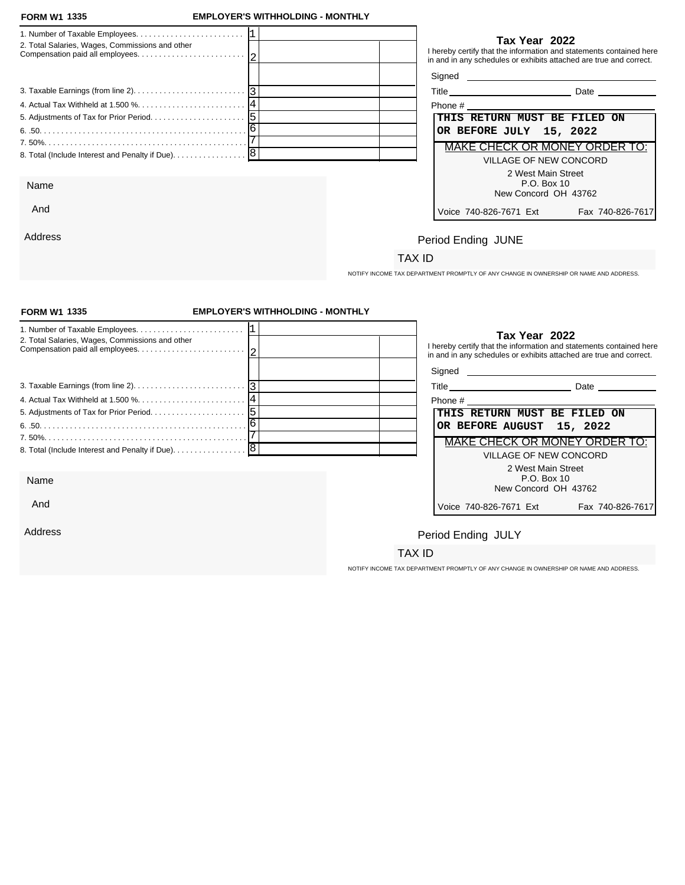Address

### **FORM W1 EMPLOYER'S WITHHOLDING - MONTHLY**

| 2. Total Salaries, Wages, Commissions and other   |  |                              | Tax Year 2022                                | I hereby certify that the information and statements contained here<br>in and in any schedules or exhibits attached are true and correct.                                                                                            |
|---------------------------------------------------|--|------------------------------|----------------------------------------------|--------------------------------------------------------------------------------------------------------------------------------------------------------------------------------------------------------------------------------------|
|                                                   |  |                              |                                              | Signed <u>example and the set of the set of the set of the set of the set of the set of the set of the set of the set of the set of the set of the set of the set of the set of the set of the set of the set of the set of the </u> |
|                                                   |  |                              |                                              | Title Date Date                                                                                                                                                                                                                      |
|                                                   |  |                              |                                              |                                                                                                                                                                                                                                      |
|                                                   |  | THIS RETURN MUST BE FILED ON |                                              |                                                                                                                                                                                                                                      |
|                                                   |  | OR BEFORE JULY 15, 2022      |                                              |                                                                                                                                                                                                                                      |
|                                                   |  |                              |                                              | MAKE CHECK OR MONEY ORDER TO:                                                                                                                                                                                                        |
| 8. Total (Include Interest and Penalty if Due). 8 |  |                              | VILLAGE OF NEW CONCORD<br>2 West Main Street |                                                                                                                                                                                                                                      |
| Name                                              |  |                              | P.O. Box 10<br>New Concord OH 43762          |                                                                                                                                                                                                                                      |
| And                                               |  | Voice 740-826-7671 Fxt       |                                              | Fax 740-826-7617                                                                                                                                                                                                                     |

| Phone #                                    |  |  |  |  |
|--------------------------------------------|--|--|--|--|
| THIS RETURN MUST BE FILED ON               |  |  |  |  |
| OR BEFORE JULY 15, 2022                    |  |  |  |  |
| MAKE CHECK OR MONEY ORDER TO:              |  |  |  |  |
| VILLAGE OF NEW CONCORD                     |  |  |  |  |
| 2 West Main Street                         |  |  |  |  |
| $P.O.$ Box 10                              |  |  |  |  |
| New Concord OH 43762                       |  |  |  |  |
| Voice 740-826-7671 Ext<br>Fax 740-826-7617 |  |  |  |  |

# Period Ending JUNE

## TAX ID

NOTIFY INCOME TAX DEPARTMENT PROMPTLY OF ANY CHANGE IN OWNERSHIP OR NAME AND ADDRESS.

| <b>FORM W1 1335</b>                               | <b>EMPLOYER'S WITHHOLDING - MONTHLY</b> |                           |                                                                                                                                                            |  |
|---------------------------------------------------|-----------------------------------------|---------------------------|------------------------------------------------------------------------------------------------------------------------------------------------------------|--|
| 2. Total Salaries, Wages, Commissions and other   |                                         |                           | Tax Year 2022<br>I hereby certify that the information and statements contained here<br>in and in any schedules or exhibits attached are true and correct. |  |
|                                                   |                                         |                           |                                                                                                                                                            |  |
|                                                   |                                         |                           | Title Date Date                                                                                                                                            |  |
|                                                   |                                         |                           |                                                                                                                                                            |  |
|                                                   |                                         |                           | THIS RETURN MUST BE FILED ON                                                                                                                               |  |
|                                                   |                                         | OR BEFORE AUGUST 15, 2022 |                                                                                                                                                            |  |
|                                                   |                                         |                           | MAKE CHECK OR MONEY ORDER TO:                                                                                                                              |  |
| 8. Total (Include Interest and Penalty if Due). 8 |                                         |                           | <b>VILLAGE OF NEW CONCORD</b>                                                                                                                              |  |
|                                                   |                                         |                           | 2 West Main Street                                                                                                                                         |  |
| Name                                              |                                         |                           | P.O. Box 10<br>New Concord OH 43762                                                                                                                        |  |
| And                                               |                                         | Voice 740-826-7671 Ext    | Fax 740-826-7617                                                                                                                                           |  |
| Address                                           |                                         | Period Ending JULY        |                                                                                                                                                            |  |
|                                                   |                                         | TAX ID                    |                                                                                                                                                            |  |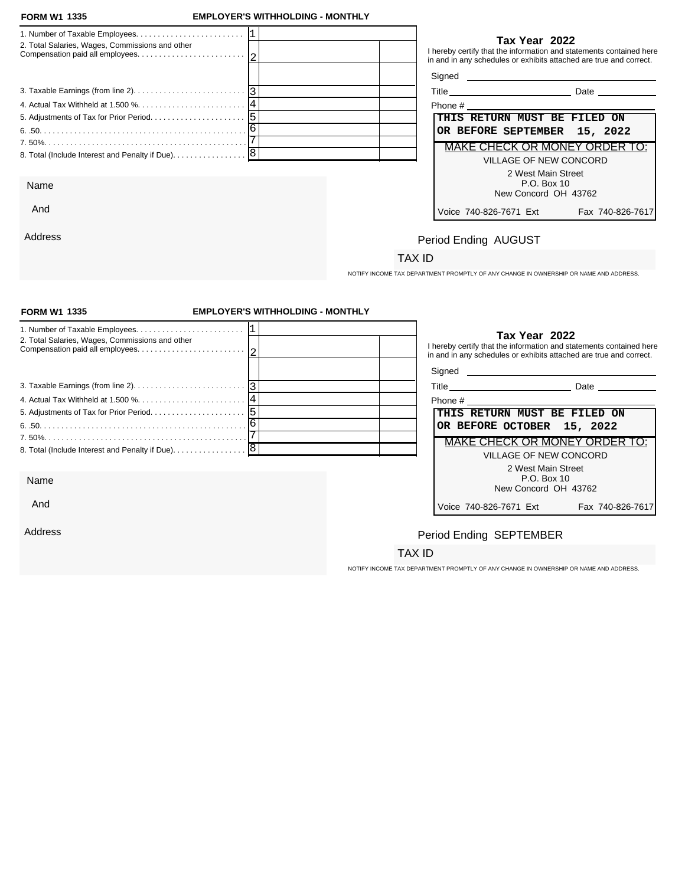And

Address

### **FORM W1 EMPLOYER'S WITHHOLDING - MONTHLY**

|                                                 | Tax Year 2022                                                                                                                             |
|-------------------------------------------------|-------------------------------------------------------------------------------------------------------------------------------------------|
| 2. Total Salaries, Wages, Commissions and other | I hereby certify that the information and statements contained here<br>in and in any schedules or exhibits attached are true and correct. |
|                                                 |                                                                                                                                           |
|                                                 | Title Date Date                                                                                                                           |
|                                                 | Phone # 2008 2009 2012 2023 2024 2022 2023 2024 2022 2023 2024 2022 2023 2024 2022 2023 2024 2025 2026 2027 20                            |
|                                                 | THIS RETURN MUST BE FILED ON                                                                                                              |
|                                                 | OR BEFORE SEPTEMBER 15, 2022                                                                                                              |
|                                                 | MAKE CHECK OR MONEY ORDER TO:                                                                                                             |
|                                                 | VILLAGE OF NEW CONCORD                                                                                                                    |
|                                                 | 2 West Main Street                                                                                                                        |
| Name                                            | P.O. Box 10                                                                                                                               |
|                                                 | New Concord OH 43762                                                                                                                      |

| Phone #                       |                  |
|-------------------------------|------------------|
| THIS RETURN MUST BE FILED ON  |                  |
| OR BEFORE SEPTEMBER 15, 2022  |                  |
| MAKE CHECK OR MONEY ORDER TO: |                  |
| VILLAGE OF NEW CONCORD        |                  |
| 2 West Main Street            |                  |
| P.O. Box 10                   |                  |
| New Concord OH 43762          |                  |
| Voice 740-826-7671 Ext        | Fax 740-826-7617 |
|                               |                  |

## Period Ending AUGUST

### TAX ID

NOTIFY INCOME TAX DEPARTMENT PROMPTLY OF ANY CHANGE IN OWNERSHIP OR NAME AND ADDRESS.

| <b>FORM W1 1335</b>                                                                         | <b>EMPLOYER'S WITHHOLDING - MONTHLY</b> |                                                                                                                                                            |                  |
|---------------------------------------------------------------------------------------------|-----------------------------------------|------------------------------------------------------------------------------------------------------------------------------------------------------------|------------------|
| 2. Total Salaries, Wages, Commissions and other                                             |                                         | Tax Year 2022<br>I hereby certify that the information and statements contained here<br>in and in any schedules or exhibits attached are true and correct. |                  |
| 3. Taxable Earnings (from line 2). $\ldots$ . $\ldots$ . $\ldots$ . $\ldots$ . $\ldots$   3 |                                         | Title Date Date                                                                                                                                            |                  |
|                                                                                             |                                         |                                                                                                                                                            |                  |
|                                                                                             |                                         | THIS RETURN MUST BE FILED ON                                                                                                                               |                  |
|                                                                                             |                                         | OR BEFORE OCTOBER 15, 2022                                                                                                                                 |                  |
|                                                                                             |                                         | MAKE CHECK OR MONEY ORDER TO:                                                                                                                              |                  |
| 8. Total (Include Interest and Penalty if Due). 8                                           |                                         | <b>VILLAGE OF NEW CONCORD</b>                                                                                                                              |                  |
| Name                                                                                        |                                         | 2 West Main Street<br>P.O. Box 10<br>New Concord OH 43762                                                                                                  |                  |
| And                                                                                         |                                         | Voice 740-826-7671 Ext                                                                                                                                     | Fax 740-826-7617 |
| Address                                                                                     |                                         | Period Ending SEPTEMBER                                                                                                                                    |                  |
|                                                                                             |                                         | TAX ID                                                                                                                                                     |                  |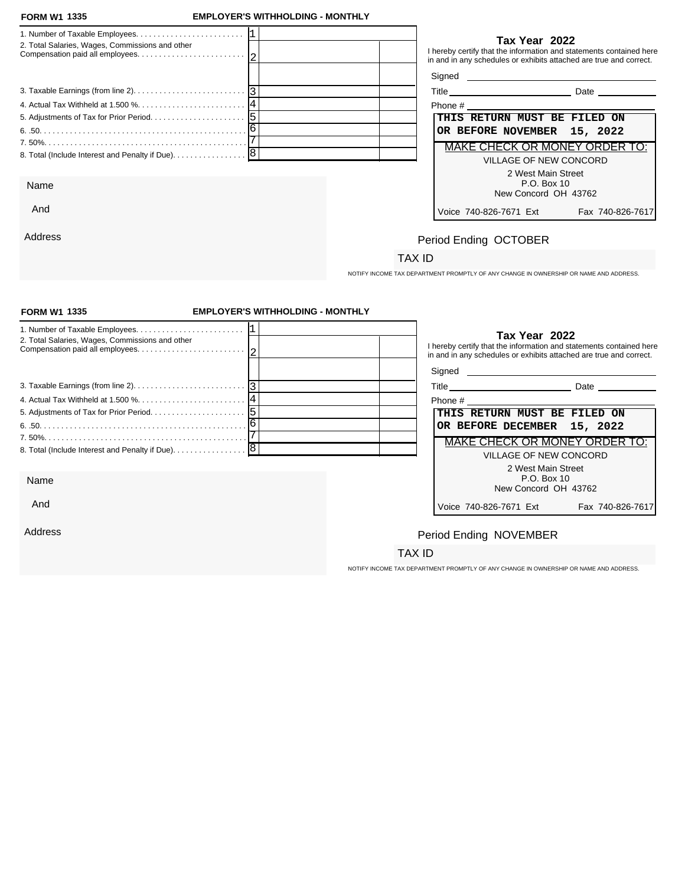And

Address

### **FORM W1 EMPLOYER'S WITHHOLDING - MONTHLY**

| 2. Total Salaries, Wages, Commissions and other   | Tax Year 2022<br>I hereby certify that the information and statements contained here<br>in and in any schedules or exhibits attached are true and correct. |
|---------------------------------------------------|------------------------------------------------------------------------------------------------------------------------------------------------------------|
|                                                   |                                                                                                                                                            |
|                                                   | <b>Date Date</b>                                                                                                                                           |
|                                                   | Phone # 2008 and 2008 and 2008 and 2008 and 2008 and 2008 and 2008 and 2008 and 2008 and 2008 and 2008 and 200                                             |
|                                                   | THIS RETURN MUST BE FILED ON                                                                                                                               |
|                                                   | OR BEFORE NOVEMBER 15, 2022                                                                                                                                |
|                                                   | MAKE CHECK OR MONEY ORDER TO:                                                                                                                              |
| 8. Total (Include Interest and Penalty if Due). 8 | VILLAGE OF NEW CONCORD                                                                                                                                     |
|                                                   | 2 West Main Street                                                                                                                                         |
| Name                                              | P.O. Box 10                                                                                                                                                |
|                                                   | New Concord OH 43762                                                                                                                                       |

| Phone #                              |                  |
|--------------------------------------|------------------|
| THIS RETURN MUST BE FILED ON         |                  |
| OR BEFORE NOVEMBER 15, 2022          |                  |
| <b>MAKE CHECK OR MONEY ORDER TO:</b> |                  |
| VILLAGE OF NEW CONCORD               |                  |
| 2 West Main Street                   |                  |
| P.O. Box 10                          |                  |
| New Concord OH 43762                 |                  |
| Voice 740-826-7671 Ext               | Fax 740-826-7617 |

## Period Ending OCTOBER

## TAX ID

NOTIFY INCOME TAX DEPARTMENT PROMPTLY OF ANY CHANGE IN OWNERSHIP OR NAME AND ADDRESS.

| <b>FORM W1 1335</b>                                                                             | <b>EMPLOYER'S WITHHOLDING - MONTHLY</b> |                                                                                                                |                                                                                                                                                            |
|-------------------------------------------------------------------------------------------------|-----------------------------------------|----------------------------------------------------------------------------------------------------------------|------------------------------------------------------------------------------------------------------------------------------------------------------------|
| 2. Total Salaries, Wages, Commissions and other                                                 |                                         |                                                                                                                | Tax Year 2022<br>I hereby certify that the information and statements contained here<br>in and in any schedules or exhibits attached are true and correct. |
|                                                                                                 |                                         |                                                                                                                |                                                                                                                                                            |
| 3. Taxable Earnings (from line 2). $\ldots$ . $\ldots$ . $\ldots$ . $\ldots$ . $\ldots$ . $ 3 $ |                                         |                                                                                                                | Title Date Date                                                                                                                                            |
|                                                                                                 |                                         | Phone # 2008 2009 2012 2022 2023 2024 2022 2023 2024 2022 2023 2024 2022 2023 2024 2022 2023 2024 2023 2024 20 |                                                                                                                                                            |
|                                                                                                 |                                         | THIS RETURN MUST BE FILED ON                                                                                   |                                                                                                                                                            |
|                                                                                                 |                                         | OR BEFORE DECEMBER 15, 2022                                                                                    |                                                                                                                                                            |
|                                                                                                 |                                         |                                                                                                                | <b>MAKE CHECK OR MONEY ORDER TO:</b>                                                                                                                       |
| 8. Total (Include Interest and Penalty if Due). 8                                               |                                         |                                                                                                                | <b>VILLAGE OF NEW CONCORD</b>                                                                                                                              |
|                                                                                                 |                                         |                                                                                                                | 2 West Main Street                                                                                                                                         |
| Name                                                                                            |                                         |                                                                                                                | P.O. Box 10<br>New Concord OH 43762                                                                                                                        |
| And                                                                                             |                                         | Voice 740-826-7671 Ext                                                                                         | Fax 740-826-7617                                                                                                                                           |
| Address                                                                                         |                                         | Period Ending NOVEMBER                                                                                         |                                                                                                                                                            |
|                                                                                                 |                                         | TAX ID                                                                                                         |                                                                                                                                                            |